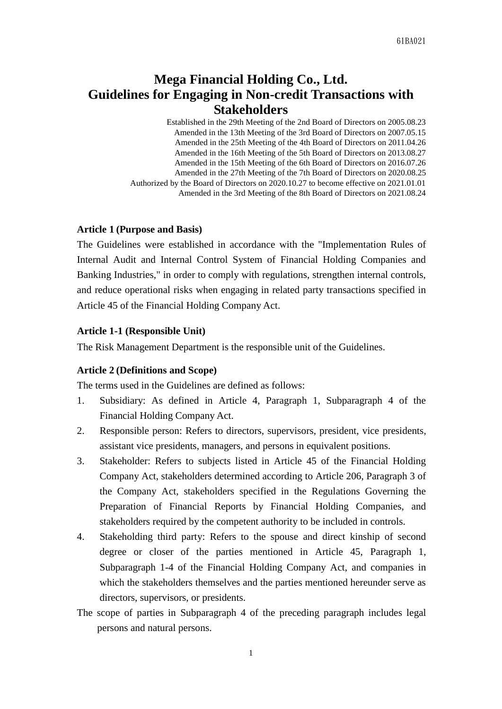# **Mega Financial Holding Co., Ltd. Guidelines for Engaging in Non-credit Transactions with Stakeholders**

Established in the 29th Meeting of the 2nd Board of Directors on 2005.08.23 Amended in the 13th Meeting of the 3rd Board of Directors on 2007.05.15 Amended in the 25th Meeting of the 4th Board of Directors on 2011.04.26 Amended in the 16th Meeting of the 5th Board of Directors on 2013.08.27 Amended in the 15th Meeting of the 6th Board of Directors on 2016.07.26 Amended in the 27th Meeting of the 7th Board of Directors on 2020.08.25 Authorized by the Board of Directors on 2020.10.27 to become effective on 2021.01.01 Amended in the 3rd Meeting of the 8th Board of Directors on 2021.08.24

### **Article 1 (Purpose and Basis)**

The Guidelines were established in accordance with the "Implementation Rules of Internal Audit and Internal Control System of Financial Holding Companies and Banking Industries," in order to comply with regulations, strengthen internal controls, and reduce operational risks when engaging in related party transactions specified in Article 45 of the Financial Holding Company Act.

### **Article 1-1 (Responsible Unit)**

The Risk Management Department is the responsible unit of the Guidelines.

#### **Article 2 (Definitions and Scope)**

The terms used in the Guidelines are defined as follows:

- 1. Subsidiary: As defined in Article 4, Paragraph 1, Subparagraph 4 of the Financial Holding Company Act.
- 2. Responsible person: Refers to directors, supervisors, president, vice presidents, assistant vice presidents, managers, and persons in equivalent positions.
- 3. Stakeholder: Refers to subjects listed in Article 45 of the Financial Holding Company Act, stakeholders determined according to Article 206, Paragraph 3 of the Company Act, stakeholders specified in the Regulations Governing the Preparation of Financial Reports by Financial Holding Companies, and stakeholders required by the competent authority to be included in controls.
- 4. Stakeholding third party: Refers to the spouse and direct kinship of second degree or closer of the parties mentioned in Article 45, Paragraph 1, Subparagraph 1-4 of the Financial Holding Company Act, and companies in which the stakeholders themselves and the parties mentioned hereunder serve as directors, supervisors, or presidents.
- The scope of parties in Subparagraph 4 of the preceding paragraph includes legal persons and natural persons.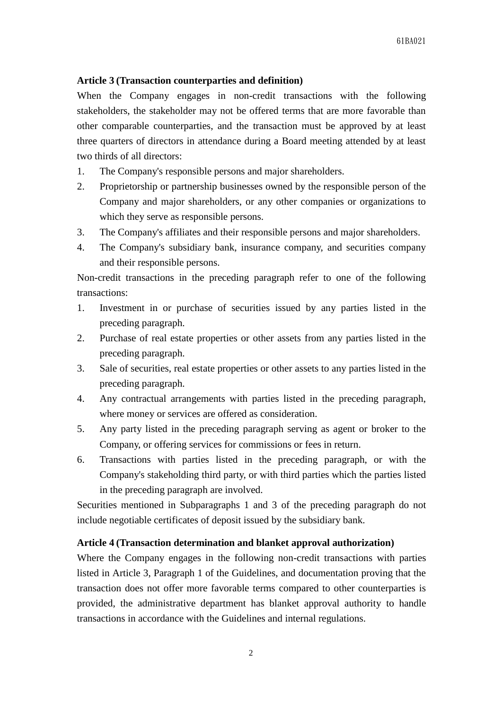### **Article 3 (Transaction counterparties and definition)**

When the Company engages in non-credit transactions with the following stakeholders, the stakeholder may not be offered terms that are more favorable than other comparable counterparties, and the transaction must be approved by at least three quarters of directors in attendance during a Board meeting attended by at least two thirds of all directors:

- 1. The Company's responsible persons and major shareholders.
- 2. Proprietorship or partnership businesses owned by the responsible person of the Company and major shareholders, or any other companies or organizations to which they serve as responsible persons.
- 3. The Company's affiliates and their responsible persons and major shareholders.
- 4. The Company's subsidiary bank, insurance company, and securities company and their responsible persons.

Non-credit transactions in the preceding paragraph refer to one of the following transactions:

- 1. Investment in or purchase of securities issued by any parties listed in the preceding paragraph.
- 2. Purchase of real estate properties or other assets from any parties listed in the preceding paragraph.
- 3. Sale of securities, real estate properties or other assets to any parties listed in the preceding paragraph.
- 4. Any contractual arrangements with parties listed in the preceding paragraph, where money or services are offered as consideration.
- 5. Any party listed in the preceding paragraph serving as agent or broker to the Company, or offering services for commissions or fees in return.
- 6. Transactions with parties listed in the preceding paragraph, or with the Company's stakeholding third party, or with third parties which the parties listed in the preceding paragraph are involved.

Securities mentioned in Subparagraphs 1 and 3 of the preceding paragraph do not include negotiable certificates of deposit issued by the subsidiary bank.

# **Article 4 (Transaction determination and blanket approval authorization)**

Where the Company engages in the following non-credit transactions with parties listed in Article 3, Paragraph 1 of the Guidelines, and documentation proving that the transaction does not offer more favorable terms compared to other counterparties is provided, the administrative department has blanket approval authority to handle transactions in accordance with the Guidelines and internal regulations.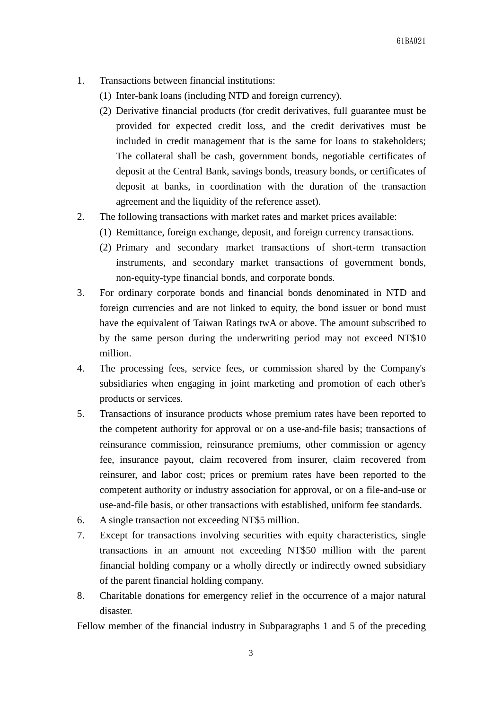- 1. Transactions between financial institutions:
	- (1) Inter-bank loans (including NTD and foreign currency).
	- (2) Derivative financial products (for credit derivatives, full guarantee must be provided for expected credit loss, and the credit derivatives must be included in credit management that is the same for loans to stakeholders; The collateral shall be cash, government bonds, negotiable certificates of deposit at the Central Bank, savings bonds, treasury bonds, or certificates of deposit at banks, in coordination with the duration of the transaction agreement and the liquidity of the reference asset).
- 2. The following transactions with market rates and market prices available:
	- (1) Remittance, foreign exchange, deposit, and foreign currency transactions.
	- (2) Primary and secondary market transactions of short-term transaction instruments, and secondary market transactions of government bonds, non-equity-type financial bonds, and corporate bonds.
- 3. For ordinary corporate bonds and financial bonds denominated in NTD and foreign currencies and are not linked to equity, the bond issuer or bond must have the equivalent of Taiwan Ratings twA or above. The amount subscribed to by the same person during the underwriting period may not exceed NT\$10 million.
- 4. The processing fees, service fees, or commission shared by the Company's subsidiaries when engaging in joint marketing and promotion of each other's products or services.
- 5. Transactions of insurance products whose premium rates have been reported to the competent authority for approval or on a use-and-file basis; transactions of reinsurance commission, reinsurance premiums, other commission or agency fee, insurance payout, claim recovered from insurer, claim recovered from reinsurer, and labor cost; prices or premium rates have been reported to the competent authority or industry association for approval, or on a file-and-use or use-and-file basis, or other transactions with established, uniform fee standards.
- 6. A single transaction not exceeding NT\$5 million.
- 7. Except for transactions involving securities with equity characteristics, single transactions in an amount not exceeding NT\$50 million with the parent financial holding company or a wholly directly or indirectly owned subsidiary of the parent financial holding company.
- 8. Charitable donations for emergency relief in the occurrence of a major natural disaster.

Fellow member of the financial industry in Subparagraphs 1 and 5 of the preceding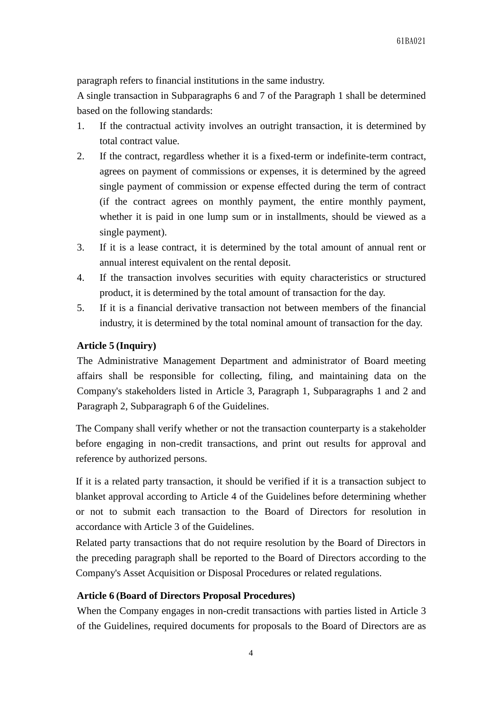paragraph refers to financial institutions in the same industry.

A single transaction in Subparagraphs 6 and 7 of the Paragraph 1 shall be determined based on the following standards:

- 1. If the contractual activity involves an outright transaction, it is determined by total contract value.
- 2. If the contract, regardless whether it is a fixed-term or indefinite-term contract, agrees on payment of commissions or expenses, it is determined by the agreed single payment of commission or expense effected during the term of contract (if the contract agrees on monthly payment, the entire monthly payment, whether it is paid in one lump sum or in installments, should be viewed as a single payment).
- 3. If it is a lease contract, it is determined by the total amount of annual rent or annual interest equivalent on the rental deposit.
- 4. If the transaction involves securities with equity characteristics or structured product, it is determined by the total amount of transaction for the day.
- 5. If it is a financial derivative transaction not between members of the financial industry, it is determined by the total nominal amount of transaction for the day.

# **Article 5 (Inquiry)**

The Administrative Management Department and administrator of Board meeting affairs shall be responsible for collecting, filing, and maintaining data on the Company's stakeholders listed in Article 3, Paragraph 1, Subparagraphs 1 and 2 and Paragraph 2, Subparagraph 6 of the Guidelines.

The Company shall verify whether or not the transaction counterparty is a stakeholder before engaging in non-credit transactions, and print out results for approval and reference by authorized persons.

If it is a related party transaction, it should be verified if it is a transaction subject to blanket approval according to Article 4 of the Guidelines before determining whether or not to submit each transaction to the Board of Directors for resolution in accordance with Article 3 of the Guidelines.

Related party transactions that do not require resolution by the Board of Directors in the preceding paragraph shall be reported to the Board of Directors according to the Company's Asset Acquisition or Disposal Procedures or related regulations.

# **Article 6 (Board of Directors Proposal Procedures)**

When the Company engages in non-credit transactions with parties listed in Article 3 of the Guidelines, required documents for proposals to the Board of Directors are as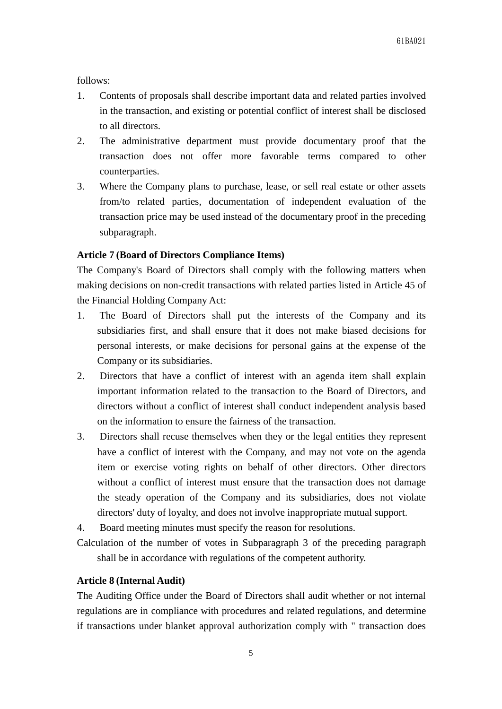follows:

- 1. Contents of proposals shall describe important data and related parties involved in the transaction, and existing or potential conflict of interest shall be disclosed to all directors.
- 2. The administrative department must provide documentary proof that the transaction does not offer more favorable terms compared to other counterparties.
- 3. Where the Company plans to purchase, lease, or sell real estate or other assets from/to related parties, documentation of independent evaluation of the transaction price may be used instead of the documentary proof in the preceding subparagraph.

## **Article 7 (Board of Directors Compliance Items)**

The Company's Board of Directors shall comply with the following matters when making decisions on non-credit transactions with related parties listed in Article 45 of the Financial Holding Company Act:

- 1. The Board of Directors shall put the interests of the Company and its subsidiaries first, and shall ensure that it does not make biased decisions for personal interests, or make decisions for personal gains at the expense of the Company or its subsidiaries.
- 2. Directors that have a conflict of interest with an agenda item shall explain important information related to the transaction to the Board of Directors, and directors without a conflict of interest shall conduct independent analysis based on the information to ensure the fairness of the transaction.
- 3. Directors shall recuse themselves when they or the legal entities they represent have a conflict of interest with the Company, and may not vote on the agenda item or exercise voting rights on behalf of other directors. Other directors without a conflict of interest must ensure that the transaction does not damage the steady operation of the Company and its subsidiaries, does not violate directors' duty of loyalty, and does not involve inappropriate mutual support.
- 4. Board meeting minutes must specify the reason for resolutions.
- Calculation of the number of votes in Subparagraph 3 of the preceding paragraph shall be in accordance with regulations of the competent authority.

### **Article 8 (Internal Audit)**

The Auditing Office under the Board of Directors shall audit whether or not internal regulations are in compliance with procedures and related regulations, and determine if transactions under blanket approval authorization comply with " transaction does